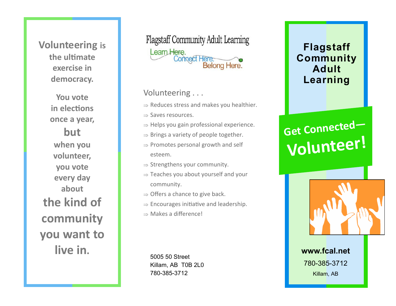# **Volunteering is the ultimate exercise in democracy.**

**You vote in elections once a year, but when you volunteer, you vote every day about the kind of community you want to live in.** 

**Flagstaff Community Adult Learning** Learn Here. Connect Here:<br>Belong Here.

#### Volunteering . . .

- $\Rightarrow$  Reduces stress and makes you healthier.
- $\Rightarrow$  Saves resources.
- $\Rightarrow$  Helps you gain professional experience.
- $\Rightarrow$  Brings a variety of people together.
- $\Rightarrow$  Promotes personal growth and self esteem.
- $\Rightarrow$  Strengthens your community.
- $\Rightarrow$  Teaches you about yourself and your community.
- $\Rightarrow$  Offers a chance to give back.
- $\Rightarrow$  Encourages initiative and leadership.
- $\Rightarrow$  Makes a difference!

5005 50 Street Killam, AB T0B 2L0 780-385-3712

# **Flagstaff Community Adult Learning**

# **Get Connected— Volunteer!**



**www.fcal.net** 780-385-3712 Killam, AB